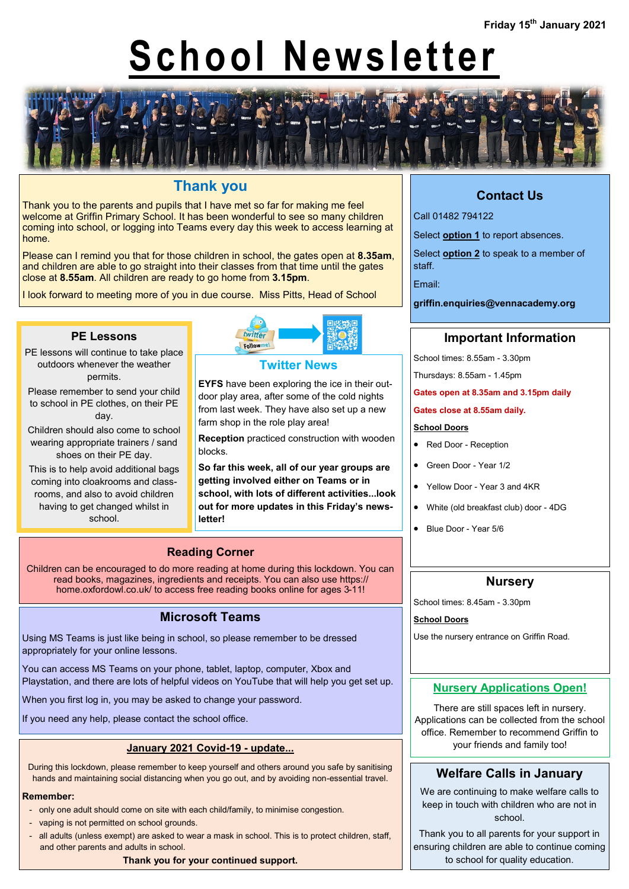# **School Newsletter**



## **Thank you**

Thank you to the parents and pupils that I have met so far for making me feel welcome at Griffin Primary School. It has been wonderful to see so many children coming into school, or logging into Teams every day this week to access learning at home.

Please can I remind you that for those children in school, the gates open at **8.35am**, and children are able to go straight into their classes from that time until the gates close at **8.55am**. All children are ready to go home from **3.15pm**.

I look forward to meeting more of you in due course. Miss Pitts, Head of School



- PE lessons will continue to take place outdoors whenever the weather permits.
- Please remember to send your child to school in PE clothes, on their PE day.
- Children should also come to school wearing appropriate trainers / sand shoes on their PE day.
- This is to help avoid additional bags coming into cloakrooms and classrooms, and also to avoid children having to get changed whilst in school.



#### **Twitter News**

**EYFS** have been exploring the ice in their outdoor play area, after some of the cold nights from last week. They have also set up a new farm shop in the role play area!

**Reception** practiced construction with wooden blocks.

**So far this week, all of our year groups are getting involved either on Teams or in school, with lots of different activities...look out for more updates in this Friday's newsletter!**

## **Reading Corner**

Children can be encouraged to do more reading at home during this lockdown. You can read books, magazines, ingredients and receipts. You can also use https:// home.oxfordowl.co.uk/ to access free reading books online for ages 3-11!

### **Microsoft Teams**

Using MS Teams is just like being in school, so please remember to be dressed appropriately for your online lessons.

You can access MS Teams on your phone, tablet, laptop, computer, Xbox and Playstation, and there are lots of helpful videos on YouTube that will help you get set up.

When you first log in, you may be asked to change your password.

If you need any help, please contact the school office.

#### **January 2021 Covid-19 - update...**

During this lockdown, please remember to keep yourself and others around you safe by sanitising hands and maintaining social distancing when you go out, and by avoiding non-essential travel.

#### **Remember:**

- only one adult should come on site with each child/family, to minimise congestion.
- vaping is not permitted on school grounds.
- all adults (unless exempt) are asked to wear a mask in school. This is to protect children, staff, and other parents and adults in school.

**Thank you for your continued support.**

## **Contact Us**

Call 01482 794122

Select **option 1** to report absences.

Select **option 2** to speak to a member of staff.

Email:

**griffin.enquiries@vennacademy.org**

## **Important Information**

School times: 8.55am - 3.30pm

Thursdays: 8.55am - 1.45pm

**Gates open at 8.35am and 3.15pm daily**

#### **Gates close at 8.55am daily.**

#### **School Doors**

- Red Door Reception
- Green Door Year 1/2
- Yellow Door Year 3 and 4KR
- White (old breakfast club) door 4DG
- Blue Door Year 5/6

#### **Nursery**

School times: 8.45am - 3.30pm

**School Doors**

Use the nursery entrance on Griffin Road.

#### **Nursery Applications Open!**

There are still spaces left in nursery. Applications can be collected from the school office. Remember to recommend Griffin to your friends and family too!

### **Welfare Calls in January**

We are continuing to make welfare calls to keep in touch with children who are not in school.

Thank you to all parents for your support in ensuring children are able to continue coming to school for quality education.